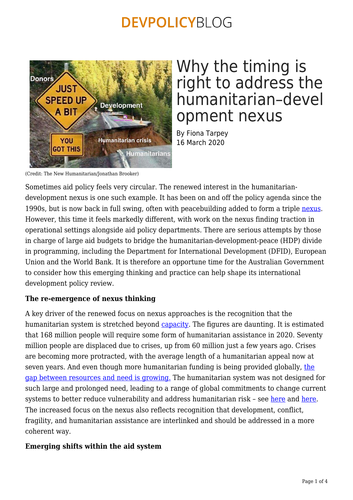

# Why the timing is right to address the humanitarian–devel opment nexus

By Fiona Tarpey 16 March 2020

(Credit: The New Humanitarian/Jonathan Brooker)

Sometimes aid policy feels very circular. The renewed interest in the humanitariandevelopment nexus is one such example. It has been on and off the policy agenda since the 1990s, but is now back in full swing, often with peacebuilding added to form a triple [nexus](https://www.icvanetwork.org/demystifying-nexus). However, this time it feels markedly different, with work on the nexus finding traction in operational settings alongside aid policy departments. There are serious attempts by those in charge of large aid budgets to bridge the humanitarian-development-peace (HDP) divide in programming, including the Department for International Development (DFID), European Union and the World Bank. It is therefore an opportune time for the Australian Government to consider how this emerging thinking and practice can help shape its international development policy review.

## **The re-emergence of nexus thinking**

A key driver of the renewed focus on nexus approaches is the recognition that the humanitarian system is stretched beyond [capacity](https://sohs.alnap.org/help-library/the-state-of-the-humanitarian-system-2018-full-report). The figures are daunting. It is estimated that 168 million people will require some form of humanitarian assistance in 2020. Seventy million people are displaced due to crises, up from 60 million just a few years ago. Crises are becoming more protracted, with the average length of a humanitarian appeal now at seven years. And even though more humanitarian funding is being provided globally, [the](https://devinit.org/publications/global-humanitarian-assistance-report-2018/) [gap between resources and need is growing.](https://devinit.org/publications/global-humanitarian-assistance-report-2018/) The humanitarian system was not designed for such large and prolonged need, leading to a range of global commitments to change current systems to better reduce vulnerability and address humanitarian risk - see [here](https://www.agendaforhumanity.org/) and [here.](https://interagencystandingcommittee.org/grand-bargain) The increased focus on the nexus also reflects recognition that development, conflict, fragility, and humanitarian assistance are interlinked and should be addressed in a more coherent way.

#### **Emerging shifts within the aid system**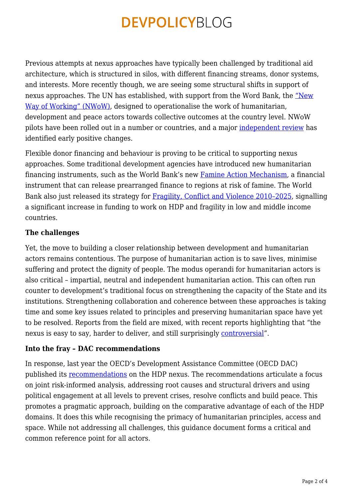Previous attempts at nexus approaches have typically been challenged by traditional aid architecture, which is structured in silos, with different financing streams, donor systems, and interests. More recently though, we are seeing some structural shifts in support of nexus approaches. The UN has established, with support from the Word Bank, the ["New](https://www.un.org/jsc/content/new-way-working) [Way of Working" \(NWoW\),](https://www.un.org/jsc/content/new-way-working) designed to operationalise the work of humanitarian, development and peace actors towards collective outcomes at the country level. NWoW pilots have been rolled out in a number or countries, and a major [independent review](https://cic.nyu.edu/publications/the-triple-nexus-in-practice) has identified early positive changes.

Flexible donor financing and behaviour is proving to be critical to supporting nexus approaches. Some traditional development agencies have introduced new humanitarian financing instruments, such as the World Bank's new [Famine Action Mechanism](https://www.worldbank.org/en/programs/famine-early-action-mechanism), a financial instrument that can release prearranged finance to regions at risk of famine. The World Bank also just released its strategy for [Fragility, Conflict and Violence 2010–2025,](http://documents.worldbank.org/curated/en/844591582815510521/pdf/World-Bank-Group-Strategy-for-Fragility-Conflict-and-Violence-2020-2025.pdf) signalling a significant increase in funding to work on HDP and fragility in low and middle income countries.

### **The challenges**

Yet, the move to building a closer relationship between development and humanitarian actors remains contentious. The purpose of humanitarian action is to save lives, minimise suffering and protect the dignity of people. The modus operandi for humanitarian actors is also critical – impartial, neutral and independent humanitarian action. This can often run counter to development's traditional focus on strengthening the capacity of the State and its institutions. Strengthening collaboration and coherence between these approaches is taking time and some key issues related to principles and preserving humanitarian space have yet to be resolved. Reports from the field are mixed, with recent reports highlighting that "the nexus is easy to say, harder to deliver, and still surprisingly [controversial](https://www.thenewhumanitarian.org/special-report/2019/09/24/triple-nexus-humanitarian-development-peacebuilding-views)".

#### **Into the fray – DAC recommendations**

In response, last year the OECD's Development Assistance Committee (OECD DAC) published its [recommendations](https://legalinstruments.oecd.org/public/doc/643/643.en.pdf) on the HDP nexus. The recommendations articulate a focus on joint risk-informed analysis, addressing root causes and structural drivers and using political engagement at all levels to prevent crises, resolve conflicts and build peace. This promotes a pragmatic approach, building on the comparative advantage of each of the HDP domains. It does this while recognising the primacy of humanitarian principles, access and space. While not addressing all challenges, this guidance document forms a critical and common reference point for all actors.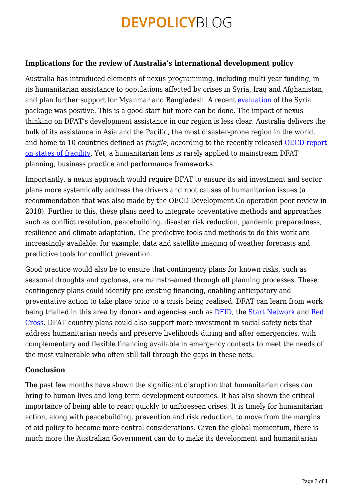#### **Implications for the review of Australia's international development policy**

Australia has introduced elements of nexus programming, including multi-year funding, in its humanitarian assistance to populations affected by crises in Syria, Iraq and Afghanistan, and plan further support for Myanmar and Bangladesh. A recent [evaluation](https://www.dfat.gov.au/sites/default/files/syria-crisis-humanitarian-resilience-package-evaluation-report.pdf) of the Syria package was positive. This is a good start but more can be done. The impact of nexus thinking on DFAT's development assistance in our region is less clear. Australia delivers the bulk of its assistance in Asia and the Pacific, the most disaster-prone region in the world, and home to 10 countries defined as *fragile*, according to the recently released [OECD report](http://www3.compareyourcountry.org/states-of-fragility/overview/0/) [on states of fragility.](http://www3.compareyourcountry.org/states-of-fragility/overview/0/) Yet, a humanitarian lens is rarely applied to mainstream DFAT planning, business practice and performance frameworks.

Importantly, a nexus approach would require DFAT to ensure its aid investment and sector plans more systemically address the drivers and root causes of humanitarian issues (a recommendation that was also made by the OECD Development Co-operation peer review in 2018). Further to this, these plans need to integrate preventative methods and approaches such as conflict resolution, peacebuilding, disaster risk reduction, pandemic preparedness, resilience and climate adaptation. The predictive tools and methods to do this work are increasingly available: for example, data and satellite imaging of weather forecasts and predictive tools for conflict prevention.

Good practice would also be to ensure that contingency plans for known risks, such as seasonal droughts and cyclones, are mainstreamed through all planning processes. These contingency plans could identify pre-existing financing, enabling anticipatory and preventative action to take place prior to a crisis being realised. DFAT can learn from work being trialled in this area by donors and agencies such as **DFID**, the [Start Network](https://startnetwork.org/new-financing) and [Red](https://www.odi.org/opinion/10476-map-showing-fba-initiatives-and-short-descriptions-selected-pilots) [Cross.](https://www.odi.org/opinion/10476-map-showing-fba-initiatives-and-short-descriptions-selected-pilots) DFAT country plans could also support more investment in social safety nets that address humanitarian needs and preserve livelihoods during and after emergencies, with complementary and flexible financing available in emergency contexts to meet the needs of the most vulnerable who often still fall through the gaps in these nets.

#### **Conclusion**

The past few months have shown the significant disruption that humanitarian crises can bring to human lives and long-term development outcomes. It has also shown the critical importance of being able to react quickly to unforeseen crises. It is timely for humanitarian action, along with peacebuilding, prevention and risk reduction, to move from the margins of aid policy to become more central considerations. Given the global momentum, there is much more the Australian Government can do to make its development and humanitarian